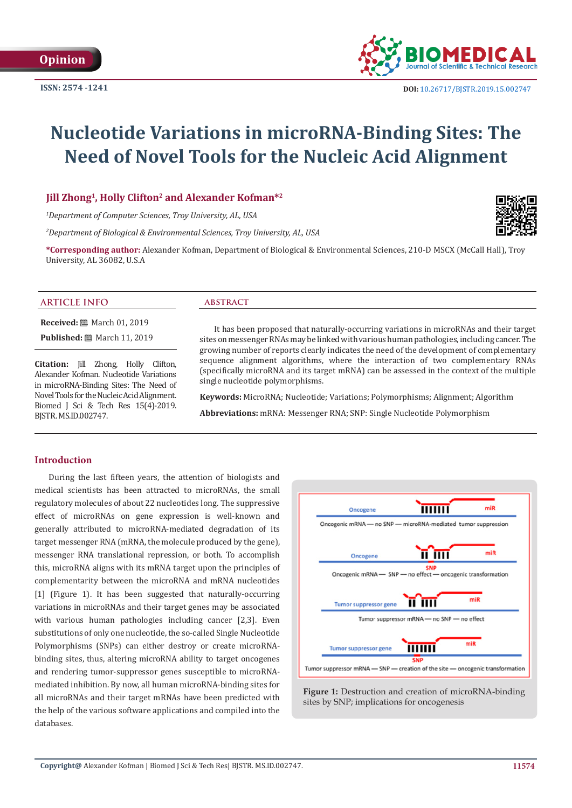

# **Nucleotide Variations in microRNA-Binding Sites: The Need of Novel Tools for the Nucleic Acid Alignment**

## **Jill Zhong1, Holly Clifton2 and Alexander Kofman\*2**

*1 Department of Computer Sciences, Troy University, AL, USA*

*2 Department of Biological & Environmental Sciences, Troy University, AL, USA*

**\*Corresponding author:** Alexander Kofman, Department of Biological & Environmental Sciences, 210-D MSCX (McCall Hall), Troy University, AL 36082, U.S.A

#### **ARTICLE INFO abstract**

**Received:** March 01, 2019

**Published: ■ March 11, 2019** 

**Citation:** Jill Zhong, Holly Clifton, Alexander Kofman. Nucleotide Variations in microRNA-Binding Sites: The Need of Novel Tools for the Nucleic Acid Alignment. Biomed J Sci & Tech Res 15(4)-2019. BJSTR. MS.ID.002747.

It has been proposed that naturally-occurring variations in microRNAs and their target sites on messenger RNAs may be linked with various human pathologies, including cancer. The growing number of reports clearly indicates the need of the development of complementary sequence alignment algorithms, where the interaction of two complementary RNAs (specifically microRNA and its target mRNA) can be assessed in the context of the multiple single nucleotide polymorphisms.

**Keywords:** MicroRNA; Nucleotide; Variations; Polymorphisms; Alignment; Algorithm **Abbreviations:** mRNA: Messenger RNA; SNP: Single Nucleotide Polymorphism

#### **Introduction**

During the last fifteen years, the attention of biologists and medical scientists has been attracted to microRNAs, the small regulatory molecules of about 22 nucleotides long. The suppressive effect of microRNAs on gene expression is well-known and generally attributed to microRNA-mediated degradation of its target messenger RNA (mRNA, the molecule produced by the gene), messenger RNA translational repression, or both. To accomplish this, microRNA aligns with its mRNA target upon the principles of complementarity between the microRNA and mRNA nucleotides [1] (Figure 1). It has been suggested that naturally-occurring variations in microRNAs and their target genes may be associated with various human pathologies including cancer [2,3]. Even substitutions of only one nucleotide, the so-called Single Nucleotide Polymorphisms (SNPs) can either destroy or create microRNAbinding sites, thus, altering microRNA ability to target oncogenes and rendering tumor-suppressor genes susceptible to microRNAmediated inhibition. By now, all human microRNA-binding sites for all microRNAs and their target mRNAs have been predicted with the help of the various software applications and compiled into the databases.